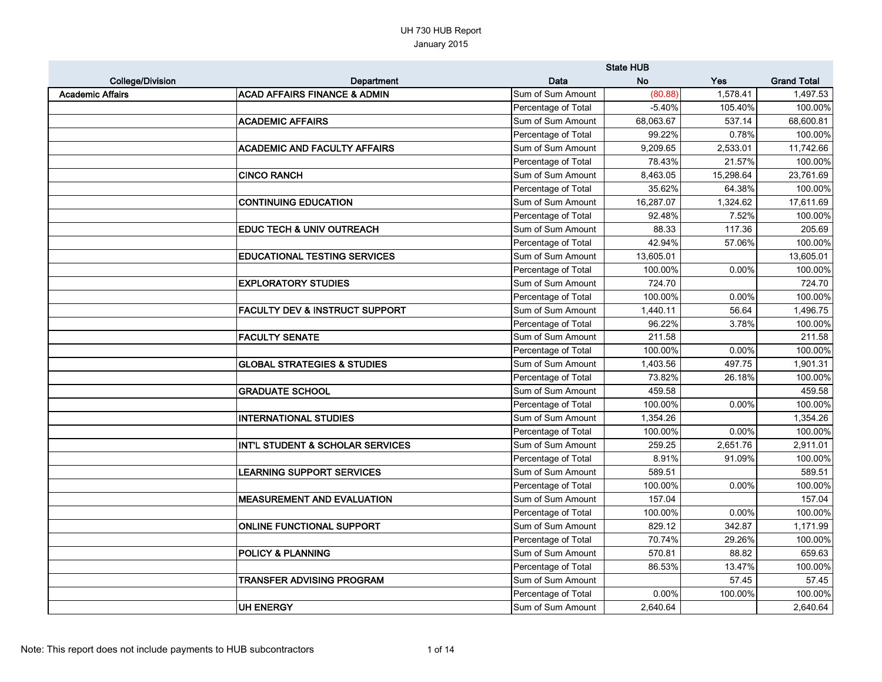|                         |                                           |                     | <b>State HUB</b> |            |                    |
|-------------------------|-------------------------------------------|---------------------|------------------|------------|--------------------|
| <b>College/Division</b> | Department                                | Data                | <b>No</b>        | <b>Yes</b> | <b>Grand Total</b> |
| <b>Academic Affairs</b> | <b>ACAD AFFAIRS FINANCE &amp; ADMIN</b>   | Sum of Sum Amount   | (80.88)          | 1,578.41   | 1,497.53           |
|                         |                                           | Percentage of Total | $-5.40%$         | 105.40%    | 100.00%            |
|                         | <b>ACADEMIC AFFAIRS</b>                   | Sum of Sum Amount   | 68,063.67        | 537.14     | 68,600.81          |
|                         |                                           | Percentage of Total | 99.22%           | 0.78%      | 100.00%            |
|                         | <b>ACADEMIC AND FACULTY AFFAIRS</b>       | Sum of Sum Amount   | 9,209.65         | 2,533.01   | 11,742.66          |
|                         |                                           | Percentage of Total | 78.43%           | 21.57%     | 100.00%            |
|                         | <b>CINCO RANCH</b>                        | Sum of Sum Amount   | 8,463.05         | 15,298.64  | 23,761.69          |
|                         |                                           | Percentage of Total | 35.62%           | 64.38%     | 100.00%            |
|                         | <b>CONTINUING EDUCATION</b>               | Sum of Sum Amount   | 16,287.07        | 1,324.62   | 17,611.69          |
|                         |                                           | Percentage of Total | 92.48%           | 7.52%      | 100.00%            |
|                         | <b>EDUC TECH &amp; UNIV OUTREACH</b>      | Sum of Sum Amount   | 88.33            | 117.36     | 205.69             |
|                         |                                           | Percentage of Total | 42.94%           | 57.06%     | 100.00%            |
|                         | <b>EDUCATIONAL TESTING SERVICES</b>       | Sum of Sum Amount   | 13,605.01        |            | 13,605.01          |
|                         |                                           | Percentage of Total | 100.00%          | 0.00%      | 100.00%            |
|                         | <b>EXPLORATORY STUDIES</b>                | Sum of Sum Amount   | 724.70           |            | 724.70             |
|                         |                                           | Percentage of Total | 100.00%          | 0.00%      | 100.00%            |
|                         | <b>FACULTY DEV &amp; INSTRUCT SUPPORT</b> | Sum of Sum Amount   | 1,440.11         | 56.64      | 1,496.75           |
|                         |                                           | Percentage of Total | 96.22%           | 3.78%      | 100.00%            |
|                         | <b>FACULTY SENATE</b>                     | Sum of Sum Amount   | 211.58           |            | 211.58             |
|                         |                                           | Percentage of Total | 100.00%          | 0.00%      | 100.00%            |
|                         | <b>GLOBAL STRATEGIES &amp; STUDIES</b>    | Sum of Sum Amount   | 1,403.56         | 497.75     | 1,901.31           |
|                         |                                           | Percentage of Total | 73.82%           | 26.18%     | 100.00%            |
|                         | <b>GRADUATE SCHOOL</b>                    | Sum of Sum Amount   | 459.58           |            | 459.58             |
|                         |                                           | Percentage of Total | 100.00%          | 0.00%      | 100.00%            |
|                         | <b>INTERNATIONAL STUDIES</b>              | Sum of Sum Amount   | 1,354.26         |            | 1,354.26           |
|                         |                                           | Percentage of Total | 100.00%          | 0.00%      | 100.00%            |
|                         | INT'L STUDENT & SCHOLAR SERVICES          | Sum of Sum Amount   | 259.25           | 2,651.76   | 2,911.01           |
|                         |                                           | Percentage of Total | 8.91%            | 91.09%     | 100.00%            |
|                         | <b>LEARNING SUPPORT SERVICES</b>          | Sum of Sum Amount   | 589.51           |            | 589.51             |
|                         |                                           | Percentage of Total | 100.00%          | 0.00%      | 100.00%            |
|                         | <b>MEASUREMENT AND EVALUATION</b>         | Sum of Sum Amount   | 157.04           |            | 157.04             |
|                         |                                           | Percentage of Total | 100.00%          | 0.00%      | 100.00%            |
|                         | <b>ONLINE FUNCTIONAL SUPPORT</b>          | Sum of Sum Amount   | 829.12           | 342.87     | 1,171.99           |
|                         |                                           | Percentage of Total | 70.74%           | 29.26%     | 100.00%            |
|                         | <b>POLICY &amp; PLANNING</b>              | Sum of Sum Amount   | 570.81           | 88.82      | 659.63             |
|                         |                                           | Percentage of Total | 86.53%           | 13.47%     | 100.00%            |
|                         | <b>TRANSFER ADVISING PROGRAM</b>          | Sum of Sum Amount   |                  | 57.45      | 57.45              |
|                         |                                           | Percentage of Total | 0.00%            | 100.00%    | 100.00%            |
|                         | <b>UH ENERGY</b>                          | Sum of Sum Amount   | 2,640.64         |            | 2,640.64           |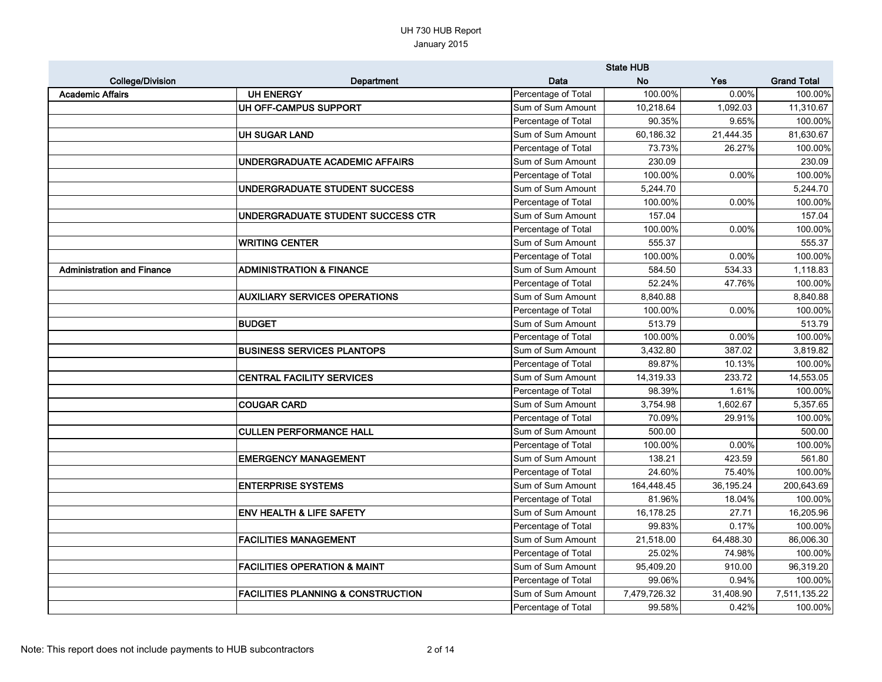|                                   |                                               |                     | <b>State HUB</b> |           |                    |
|-----------------------------------|-----------------------------------------------|---------------------|------------------|-----------|--------------------|
| <b>College/Division</b>           | Department                                    | Data                | <b>No</b>        | Yes       | <b>Grand Total</b> |
| <b>Academic Affairs</b>           | <b>UH ENERGY</b>                              | Percentage of Total | 100.00%          | $0.00\%$  | 100.00%            |
|                                   | UH OFF-CAMPUS SUPPORT                         | Sum of Sum Amount   | 10,218.64        | 1,092.03  | 11,310.67          |
|                                   |                                               | Percentage of Total | 90.35%           | 9.65%     | 100.00%            |
|                                   | <b>UH SUGAR LAND</b>                          | Sum of Sum Amount   | 60,186.32        | 21,444.35 | 81,630.67          |
|                                   |                                               | Percentage of Total | 73.73%           | 26.27%    | 100.00%            |
|                                   | UNDERGRADUATE ACADEMIC AFFAIRS                | Sum of Sum Amount   | 230.09           |           | 230.09             |
|                                   |                                               | Percentage of Total | 100.00%          | 0.00%     | 100.00%            |
|                                   | UNDERGRADUATE STUDENT SUCCESS                 | Sum of Sum Amount   | 5,244.70         |           | 5,244.70           |
|                                   |                                               | Percentage of Total | 100.00%          | 0.00%     | 100.00%            |
|                                   | UNDERGRADUATE STUDENT SUCCESS CTR             | Sum of Sum Amount   | 157.04           |           | 157.04             |
|                                   |                                               | Percentage of Total | 100.00%          | 0.00%     | 100.00%            |
|                                   | <b>WRITING CENTER</b>                         | Sum of Sum Amount   | 555.37           |           | 555.37             |
|                                   |                                               | Percentage of Total | 100.00%          | 0.00%     | 100.00%            |
| <b>Administration and Finance</b> | <b>ADMINISTRATION &amp; FINANCE</b>           | Sum of Sum Amount   | 584.50           | 534.33    | 1,118.83           |
|                                   |                                               | Percentage of Total | 52.24%           | 47.76%    | 100.00%            |
|                                   | <b>AUXILIARY SERVICES OPERATIONS</b>          | Sum of Sum Amount   | 8,840.88         |           | 8,840.88           |
|                                   |                                               | Percentage of Total | 100.00%          | 0.00%     | 100.00%            |
|                                   | <b>BUDGET</b>                                 | Sum of Sum Amount   | 513.79           |           | 513.79             |
|                                   |                                               | Percentage of Total | 100.00%          | 0.00%     | 100.00%            |
|                                   | <b>BUSINESS SERVICES PLANTOPS</b>             | Sum of Sum Amount   | 3,432.80         | 387.02    | 3,819.82           |
|                                   |                                               | Percentage of Total | 89.87%           | 10.13%    | 100.00%            |
|                                   | <b>CENTRAL FACILITY SERVICES</b>              | Sum of Sum Amount   | 14,319.33        | 233.72    | 14,553.05          |
|                                   |                                               | Percentage of Total | 98.39%           | 1.61%     | 100.00%            |
|                                   | <b>COUGAR CARD</b>                            | Sum of Sum Amount   | 3,754.98         | 1,602.67  | 5,357.65           |
|                                   |                                               | Percentage of Total | 70.09%           | 29.91%    | 100.00%            |
|                                   | <b>CULLEN PERFORMANCE HALL</b>                | Sum of Sum Amount   | 500.00           |           | 500.00             |
|                                   |                                               | Percentage of Total | 100.00%          | 0.00%     | 100.00%            |
|                                   | <b>EMERGENCY MANAGEMENT</b>                   | Sum of Sum Amount   | 138.21           | 423.59    | 561.80             |
|                                   |                                               | Percentage of Total | 24.60%           | 75.40%    | 100.00%            |
|                                   | <b>ENTERPRISE SYSTEMS</b>                     | Sum of Sum Amount   | 164,448.45       | 36,195.24 | 200,643.69         |
|                                   |                                               | Percentage of Total | 81.96%           | 18.04%    | 100.00%            |
|                                   | <b>ENV HEALTH &amp; LIFE SAFETY</b>           | Sum of Sum Amount   | 16,178.25        | 27.71     | 16,205.96          |
|                                   |                                               | Percentage of Total | 99.83%           | 0.17%     | 100.00%            |
|                                   | <b>FACILITIES MANAGEMENT</b>                  | Sum of Sum Amount   | 21,518.00        | 64,488.30 | 86,006.30          |
|                                   |                                               | Percentage of Total | 25.02%           | 74.98%    | 100.00%            |
|                                   | <b>FACILITIES OPERATION &amp; MAINT</b>       | Sum of Sum Amount   | 95,409.20        | 910.00    | 96,319.20          |
|                                   |                                               | Percentage of Total | 99.06%           | 0.94%     | 100.00%            |
|                                   | <b>FACILITIES PLANNING &amp; CONSTRUCTION</b> | Sum of Sum Amount   | 7,479,726.32     | 31,408.90 | 7,511,135.22       |
|                                   |                                               | Percentage of Total | 99.58%           | 0.42%     | 100.00%            |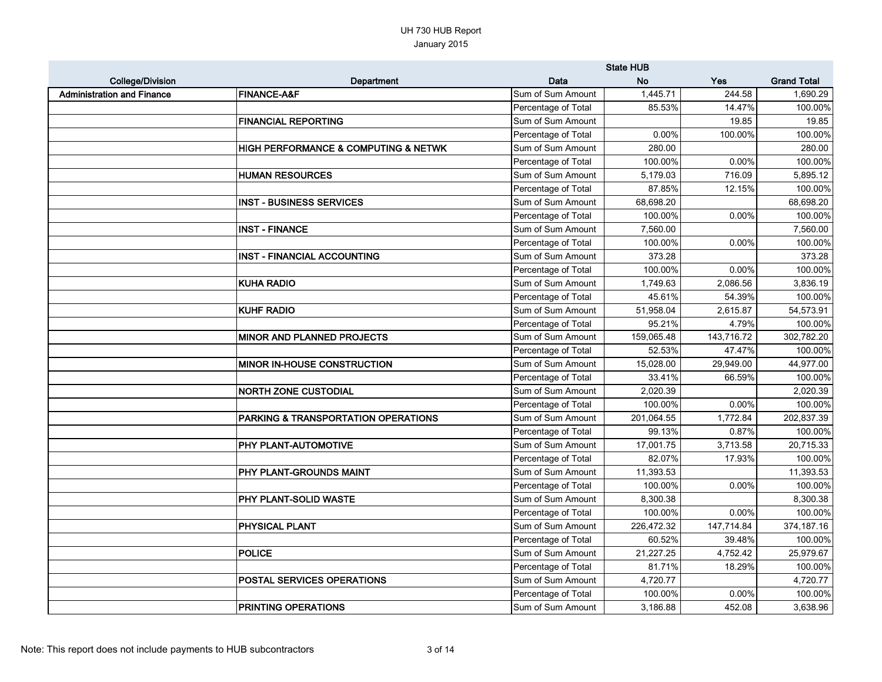|                                   |                                                     |                     | <b>State HUB</b> |            |                    |
|-----------------------------------|-----------------------------------------------------|---------------------|------------------|------------|--------------------|
| <b>College/Division</b>           | Department                                          | <b>Data</b>         | <b>No</b>        | <b>Yes</b> | <b>Grand Total</b> |
| <b>Administration and Finance</b> | <b>FINANCE-A&amp;F</b>                              | Sum of Sum Amount   | 1,445.71         | 244.58     | 1,690.29           |
|                                   |                                                     | Percentage of Total | 85.53%           | 14.47%     | 100.00%            |
|                                   | <b>FINANCIAL REPORTING</b>                          | Sum of Sum Amount   |                  | 19.85      | 19.85              |
|                                   |                                                     | Percentage of Total | 0.00%            | 100.00%    | 100.00%            |
|                                   | <b>HIGH PERFORMANCE &amp; COMPUTING &amp; NETWK</b> | Sum of Sum Amount   | 280.00           |            | 280.00             |
|                                   |                                                     | Percentage of Total | 100.00%          | 0.00%      | 100.00%            |
|                                   | <b>HUMAN RESOURCES</b>                              | Sum of Sum Amount   | 5,179.03         | 716.09     | 5,895.12           |
|                                   |                                                     | Percentage of Total | 87.85%           | 12.15%     | 100.00%            |
|                                   | <b>INST - BUSINESS SERVICES</b>                     | Sum of Sum Amount   | 68,698.20        |            | 68,698.20          |
|                                   |                                                     | Percentage of Total | 100.00%          | 0.00%      | 100.00%            |
|                                   | <b>INST - FINANCE</b>                               | Sum of Sum Amount   | 7,560.00         |            | 7,560.00           |
|                                   |                                                     | Percentage of Total | 100.00%          | 0.00%      | 100.00%            |
|                                   | <b>INST - FINANCIAL ACCOUNTING</b>                  | Sum of Sum Amount   | 373.28           |            | 373.28             |
|                                   |                                                     | Percentage of Total | 100.00%          | 0.00%      | 100.00%            |
|                                   | <b>KUHA RADIO</b>                                   | Sum of Sum Amount   | 1,749.63         | 2,086.56   | 3,836.19           |
|                                   |                                                     | Percentage of Total | 45.61%           | 54.39%     | 100.00%            |
|                                   | <b>KUHF RADIO</b>                                   | Sum of Sum Amount   | 51,958.04        | 2,615.87   | 54,573.91          |
|                                   |                                                     | Percentage of Total | 95.21%           | 4.79%      | 100.00%            |
|                                   | <b>MINOR AND PLANNED PROJECTS</b>                   | Sum of Sum Amount   | 159,065.48       | 143,716.72 | 302,782.20         |
|                                   |                                                     | Percentage of Total | 52.53%           | 47.47%     | 100.00%            |
|                                   | MINOR IN-HOUSE CONSTRUCTION                         | Sum of Sum Amount   | 15,028.00        | 29,949.00  | 44,977.00          |
|                                   |                                                     | Percentage of Total | 33.41%           | 66.59%     | 100.00%            |
|                                   | <b>NORTH ZONE CUSTODIAL</b>                         | Sum of Sum Amount   | 2,020.39         |            | 2,020.39           |
|                                   |                                                     | Percentage of Total | 100.00%          | 0.00%      | 100.00%            |
|                                   | PARKING & TRANSPORTATION OPERATIONS                 | Sum of Sum Amount   | 201,064.55       | 1,772.84   | 202,837.39         |
|                                   |                                                     | Percentage of Total | 99.13%           | 0.87%      | 100.00%            |
|                                   | PHY PLANT-AUTOMOTIVE                                | Sum of Sum Amount   | 17,001.75        | 3,713.58   | 20,715.33          |
|                                   |                                                     | Percentage of Total | 82.07%           | 17.93%     | 100.00%            |
|                                   | PHY PLANT-GROUNDS MAINT                             | Sum of Sum Amount   | 11,393.53        |            | 11,393.53          |
|                                   |                                                     | Percentage of Total | 100.00%          | 0.00%      | 100.00%            |
|                                   | PHY PLANT-SOLID WASTE                               | Sum of Sum Amount   | 8,300.38         |            | 8,300.38           |
|                                   |                                                     | Percentage of Total | 100.00%          | 0.00%      | 100.00%            |
|                                   | PHYSICAL PLANT                                      | Sum of Sum Amount   | 226,472.32       | 147,714.84 | 374,187.16         |
|                                   |                                                     | Percentage of Total | 60.52%           | 39.48%     | 100.00%            |
|                                   | <b>POLICE</b>                                       | Sum of Sum Amount   | 21,227.25        | 4,752.42   | 25,979.67          |
|                                   |                                                     | Percentage of Total | 81.71%           | 18.29%     | 100.00%            |
|                                   | POSTAL SERVICES OPERATIONS                          | Sum of Sum Amount   | 4,720.77         |            | 4,720.77           |
|                                   |                                                     | Percentage of Total | 100.00%          | 0.00%      | 100.00%            |
|                                   | PRINTING OPERATIONS                                 | Sum of Sum Amount   | 3,186.88         | 452.08     | 3,638.96           |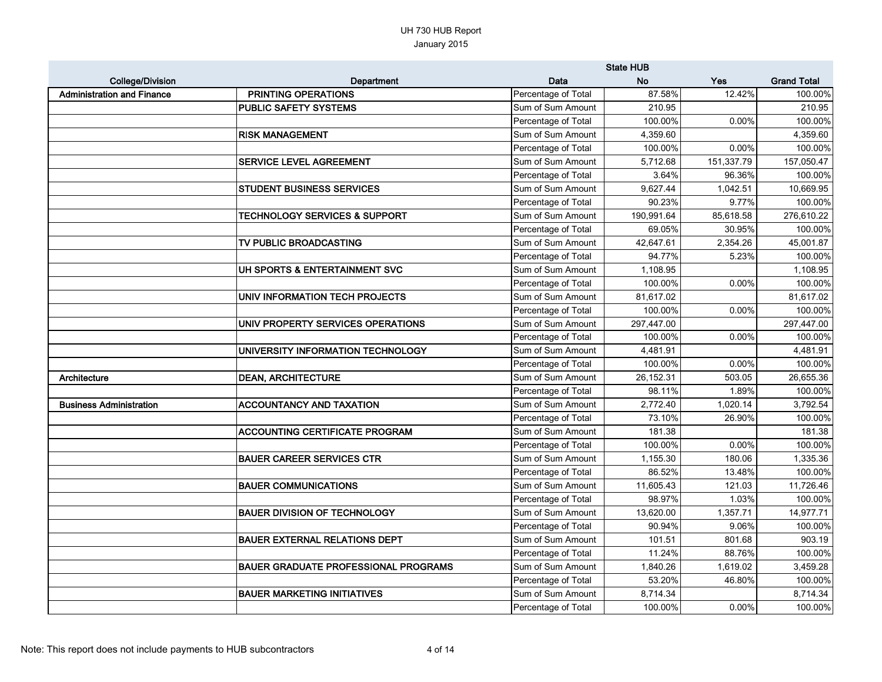|                                   |                                             |                     | <b>State HUB</b> |            |                    |
|-----------------------------------|---------------------------------------------|---------------------|------------------|------------|--------------------|
| <b>College/Division</b>           | Department                                  | Data                | <b>No</b>        | <b>Yes</b> | <b>Grand Total</b> |
| <b>Administration and Finance</b> | PRINTING OPERATIONS                         | Percentage of Total | 87.58%           | 12.42%     | 100.00%            |
|                                   | <b>PUBLIC SAFETY SYSTEMS</b>                | Sum of Sum Amount   | 210.95           |            | 210.95             |
|                                   |                                             | Percentage of Total | 100.00%          | 0.00%      | 100.00%            |
|                                   | <b>RISK MANAGEMENT</b>                      | Sum of Sum Amount   | 4,359.60         |            | 4,359.60           |
|                                   |                                             | Percentage of Total | 100.00%          | 0.00%      | 100.00%            |
|                                   | <b>SERVICE LEVEL AGREEMENT</b>              | Sum of Sum Amount   | 5,712.68         | 151,337.79 | 157,050.47         |
|                                   |                                             | Percentage of Total | 3.64%            | 96.36%     | 100.00%            |
|                                   | <b>STUDENT BUSINESS SERVICES</b>            | Sum of Sum Amount   | 9,627.44         | 1,042.51   | 10,669.95          |
|                                   |                                             | Percentage of Total | 90.23%           | 9.77%      | 100.00%            |
|                                   | <b>TECHNOLOGY SERVICES &amp; SUPPORT</b>    | Sum of Sum Amount   | 190,991.64       | 85,618.58  | 276,610.22         |
|                                   |                                             | Percentage of Total | 69.05%           | 30.95%     | 100.00%            |
|                                   | TV PUBLIC BROADCASTING                      | Sum of Sum Amount   | 42,647.61        | 2,354.26   | 45,001.87          |
|                                   |                                             | Percentage of Total | 94.77%           | 5.23%      | 100.00%            |
|                                   | UH SPORTS & ENTERTAINMENT SVC               | Sum of Sum Amount   | 1,108.95         |            | 1,108.95           |
|                                   |                                             | Percentage of Total | 100.00%          | 0.00%      | 100.00%            |
|                                   | UNIV INFORMATION TECH PROJECTS              | Sum of Sum Amount   | 81,617.02        |            | 81,617.02          |
|                                   |                                             | Percentage of Total | 100.00%          | 0.00%      | 100.00%            |
|                                   | UNIV PROPERTY SERVICES OPERATIONS           | Sum of Sum Amount   | 297,447.00       |            | 297,447.00         |
|                                   |                                             | Percentage of Total | 100.00%          | 0.00%      | 100.00%            |
|                                   | UNIVERSITY INFORMATION TECHNOLOGY           | Sum of Sum Amount   | 4,481.91         |            | 4,481.91           |
|                                   |                                             | Percentage of Total | 100.00%          | 0.00%      | 100.00%            |
| Architecture                      | <b>DEAN, ARCHITECTURE</b>                   | Sum of Sum Amount   | 26,152.31        | 503.05     | 26,655.36          |
|                                   |                                             | Percentage of Total | 98.11%           | 1.89%      | 100.00%            |
| <b>Business Administration</b>    | <b>ACCOUNTANCY AND TAXATION</b>             | Sum of Sum Amount   | 2,772.40         | 1,020.14   | 3,792.54           |
|                                   |                                             | Percentage of Total | 73.10%           | 26.90%     | 100.00%            |
|                                   | <b>ACCOUNTING CERTIFICATE PROGRAM</b>       | Sum of Sum Amount   | 181.38           |            | 181.38             |
|                                   |                                             | Percentage of Total | 100.00%          | 0.00%      | 100.00%            |
|                                   | <b>BAUER CAREER SERVICES CTR</b>            | Sum of Sum Amount   | 1,155.30         | 180.06     | 1,335.36           |
|                                   |                                             | Percentage of Total | 86.52%           | 13.48%     | 100.00%            |
|                                   | <b>BAUER COMMUNICATIONS</b>                 | Sum of Sum Amount   | 11,605.43        | 121.03     | 11,726.46          |
|                                   |                                             | Percentage of Total | 98.97%           | 1.03%      | 100.00%            |
|                                   | <b>BAUER DIVISION OF TECHNOLOGY</b>         | Sum of Sum Amount   | 13,620.00        | 1,357.71   | 14,977.71          |
|                                   |                                             | Percentage of Total | 90.94%           | 9.06%      | 100.00%            |
|                                   | <b>BAUER EXTERNAL RELATIONS DEPT</b>        | Sum of Sum Amount   | 101.51           | 801.68     | 903.19             |
|                                   |                                             | Percentage of Total | 11.24%           | 88.76%     | 100.00%            |
|                                   | <b>BAUER GRADUATE PROFESSIONAL PROGRAMS</b> | Sum of Sum Amount   | 1,840.26         | 1,619.02   | 3,459.28           |
|                                   |                                             | Percentage of Total | 53.20%           | 46.80%     | 100.00%            |
|                                   | <b>BAUER MARKETING INITIATIVES</b>          | Sum of Sum Amount   | 8,714.34         |            | 8,714.34           |
|                                   |                                             | Percentage of Total | 100.00%          | $0.00\%$   | 100.00%            |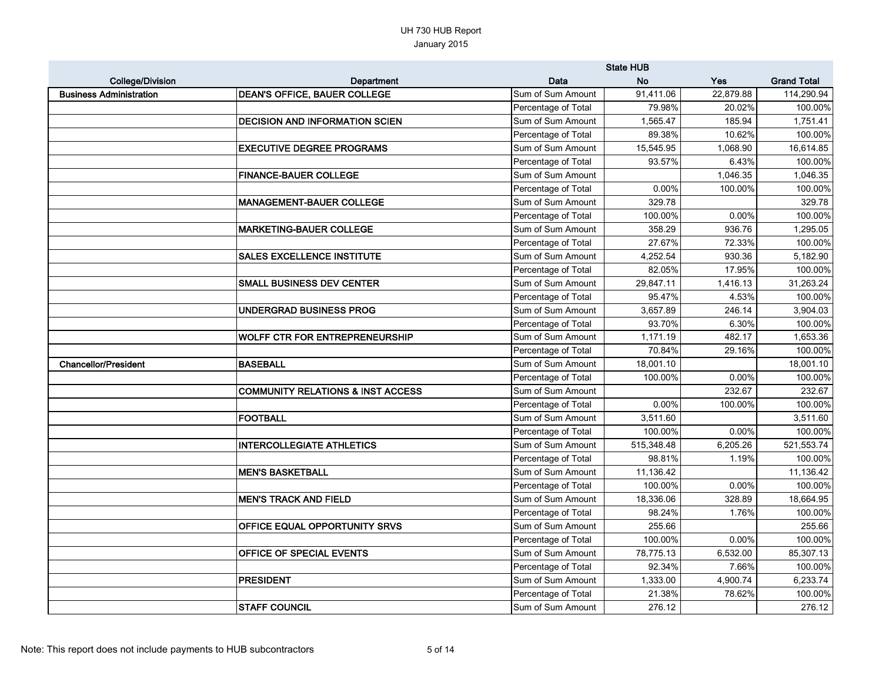|                                |                                              |                     | <b>State HUB</b> |            |                    |
|--------------------------------|----------------------------------------------|---------------------|------------------|------------|--------------------|
| <b>College/Division</b>        | Department                                   | <b>Data</b>         | <b>No</b>        | <b>Yes</b> | <b>Grand Total</b> |
| <b>Business Administration</b> | <b>DEAN'S OFFICE, BAUER COLLEGE</b>          | Sum of Sum Amount   | 91,411.06        | 22,879.88  | 114,290.94         |
|                                |                                              | Percentage of Total | 79.98%           | 20.02%     | 100.00%            |
|                                | <b>DECISION AND INFORMATION SCIEN</b>        | Sum of Sum Amount   | 1,565.47         | 185.94     | 1,751.41           |
|                                |                                              | Percentage of Total | 89.38%           | 10.62%     | 100.00%            |
|                                | <b>EXECUTIVE DEGREE PROGRAMS</b>             | Sum of Sum Amount   | 15,545.95        | 1,068.90   | 16,614.85          |
|                                |                                              | Percentage of Total | 93.57%           | 6.43%      | 100.00%            |
|                                | <b>FINANCE-BAUER COLLEGE</b>                 | Sum of Sum Amount   |                  | 1,046.35   | 1,046.35           |
|                                |                                              | Percentage of Total | 0.00%            | 100.00%    | 100.00%            |
|                                | <b>MANAGEMENT-BAUER COLLEGE</b>              | Sum of Sum Amount   | 329.78           |            | 329.78             |
|                                |                                              | Percentage of Total | 100.00%          | 0.00%      | 100.00%            |
|                                | <b>MARKETING-BAUER COLLEGE</b>               | Sum of Sum Amount   | 358.29           | 936.76     | 1,295.05           |
|                                |                                              | Percentage of Total | 27.67%           | 72.33%     | 100.00%            |
|                                | <b>SALES EXCELLENCE INSTITUTE</b>            | Sum of Sum Amount   | 4,252.54         | 930.36     | 5,182.90           |
|                                |                                              | Percentage of Total | 82.05%           | 17.95%     | 100.00%            |
|                                | <b>SMALL BUSINESS DEV CENTER</b>             | Sum of Sum Amount   | 29,847.11        | 1,416.13   | 31,263.24          |
|                                |                                              | Percentage of Total | 95.47%           | 4.53%      | 100.00%            |
|                                | UNDERGRAD BUSINESS PROG                      | Sum of Sum Amount   | 3,657.89         | 246.14     | 3,904.03           |
|                                |                                              | Percentage of Total | 93.70%           | 6.30%      | 100.00%            |
|                                | <b>WOLFF CTR FOR ENTREPRENEURSHIP</b>        | Sum of Sum Amount   | 1,171.19         | 482.17     | 1,653.36           |
|                                |                                              | Percentage of Total | 70.84%           | 29.16%     | 100.00%            |
| <b>Chancellor/President</b>    | <b>BASEBALL</b>                              | Sum of Sum Amount   | 18,001.10        |            | 18,001.10          |
|                                |                                              | Percentage of Total | 100.00%          | 0.00%      | 100.00%            |
|                                | <b>COMMUNITY RELATIONS &amp; INST ACCESS</b> | Sum of Sum Amount   |                  | 232.67     | 232.67             |
|                                |                                              | Percentage of Total | 0.00%            | 100.00%    | 100.00%            |
|                                | <b>FOOTBALL</b>                              | Sum of Sum Amount   | 3,511.60         |            | 3,511.60           |
|                                |                                              | Percentage of Total | 100.00%          | 0.00%      | 100.00%            |
|                                | <b>INTERCOLLEGIATE ATHLETICS</b>             | Sum of Sum Amount   | 515,348.48       | 6,205.26   | 521,553.74         |
|                                |                                              | Percentage of Total | 98.81%           | 1.19%      | 100.00%            |
|                                | <b>MEN'S BASKETBALL</b>                      | Sum of Sum Amount   | 11,136.42        |            | 11,136.42          |
|                                |                                              | Percentage of Total | 100.00%          | 0.00%      | 100.00%            |
|                                | <b>MEN'S TRACK AND FIELD</b>                 | Sum of Sum Amount   | 18,336.06        | 328.89     | 18,664.95          |
|                                |                                              | Percentage of Total | 98.24%           | 1.76%      | 100.00%            |
|                                | OFFICE EQUAL OPPORTUNITY SRVS                | Sum of Sum Amount   | 255.66           |            | 255.66             |
|                                |                                              | Percentage of Total | 100.00%          | 0.00%      | 100.00%            |
|                                | OFFICE OF SPECIAL EVENTS                     | Sum of Sum Amount   | 78,775.13        | 6,532.00   | 85,307.13          |
|                                |                                              | Percentage of Total | 92.34%           | 7.66%      | 100.00%            |
|                                | <b>PRESIDENT</b>                             | Sum of Sum Amount   | 1,333.00         | 4,900.74   | 6,233.74           |
|                                |                                              | Percentage of Total | 21.38%           | 78.62%     | 100.00%            |
|                                | <b>STAFF COUNCIL</b>                         | Sum of Sum Amount   | 276.12           |            | 276.12             |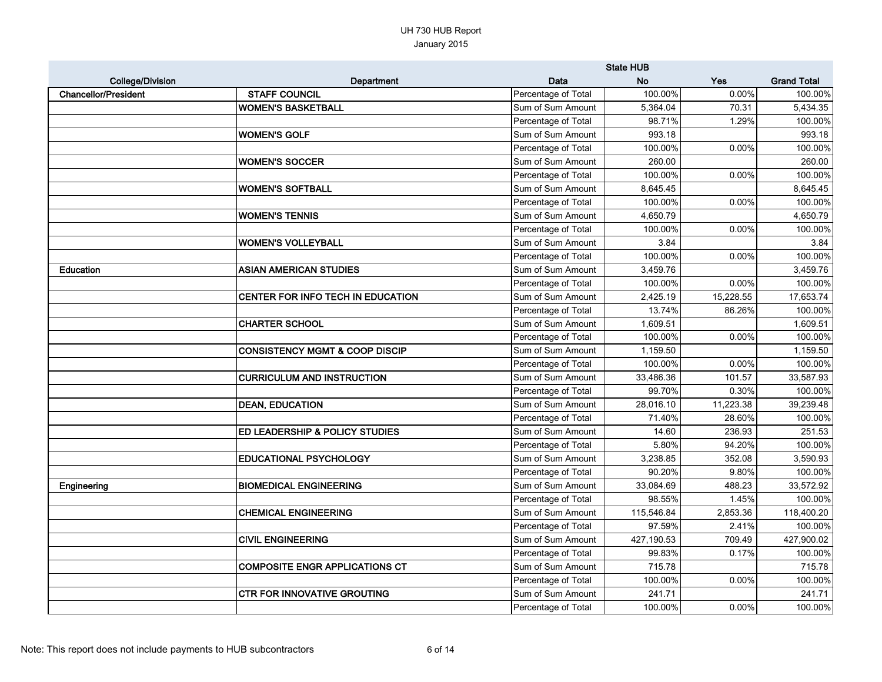|                             |                                           |                     | <b>State HUB</b> |            |                    |
|-----------------------------|-------------------------------------------|---------------------|------------------|------------|--------------------|
| <b>College/Division</b>     | Department                                | Data                | <b>No</b>        | <b>Yes</b> | <b>Grand Total</b> |
| <b>Chancellor/President</b> | <b>STAFF COUNCIL</b>                      | Percentage of Total | 100.00%          | $0.00\%$   | 100.00%            |
|                             | <b>WOMEN'S BASKETBALL</b>                 | Sum of Sum Amount   | 5,364.04         | 70.31      | 5,434.35           |
|                             |                                           | Percentage of Total | 98.71%           | 1.29%      | 100.00%            |
|                             | <b>WOMEN'S GOLF</b>                       | Sum of Sum Amount   | 993.18           |            | 993.18             |
|                             |                                           | Percentage of Total | 100.00%          | 0.00%      | 100.00%            |
|                             | <b>WOMEN'S SOCCER</b>                     | Sum of Sum Amount   | 260.00           |            | 260.00             |
|                             |                                           | Percentage of Total | 100.00%          | 0.00%      | 100.00%            |
|                             | <b>WOMEN'S SOFTBALL</b>                   | Sum of Sum Amount   | 8,645.45         |            | 8,645.45           |
|                             |                                           | Percentage of Total | 100.00%          | 0.00%      | 100.00%            |
|                             | <b>WOMEN'S TENNIS</b>                     | Sum of Sum Amount   | 4,650.79         |            | 4,650.79           |
|                             |                                           | Percentage of Total | 100.00%          | 0.00%      | 100.00%            |
|                             | <b>WOMEN'S VOLLEYBALL</b>                 | Sum of Sum Amount   | 3.84             |            | 3.84               |
|                             |                                           | Percentage of Total | 100.00%          | 0.00%      | 100.00%            |
| <b>Education</b>            | <b>ASIAN AMERICAN STUDIES</b>             | Sum of Sum Amount   | 3,459.76         |            | 3,459.76           |
|                             |                                           | Percentage of Total | 100.00%          | 0.00%      | 100.00%            |
|                             | CENTER FOR INFO TECH IN EDUCATION         | Sum of Sum Amount   | 2,425.19         | 15,228.55  | 17,653.74          |
|                             |                                           | Percentage of Total | 13.74%           | 86.26%     | 100.00%            |
|                             | <b>CHARTER SCHOOL</b>                     | Sum of Sum Amount   | 1,609.51         |            | 1,609.51           |
|                             |                                           | Percentage of Total | 100.00%          | 0.00%      | 100.00%            |
|                             | <b>CONSISTENCY MGMT &amp; COOP DISCIP</b> | Sum of Sum Amount   | 1,159.50         |            | 1,159.50           |
|                             |                                           | Percentage of Total | 100.00%          | 0.00%      | 100.00%            |
|                             | <b>CURRICULUM AND INSTRUCTION</b>         | Sum of Sum Amount   | 33,486.36        | 101.57     | 33,587.93          |
|                             |                                           | Percentage of Total | 99.70%           | 0.30%      | 100.00%            |
|                             | <b>DEAN, EDUCATION</b>                    | Sum of Sum Amount   | 28,016.10        | 11,223.38  | 39,239.48          |
|                             |                                           | Percentage of Total | 71.40%           | 28.60%     | 100.00%            |
|                             | <b>ED LEADERSHIP &amp; POLICY STUDIES</b> | Sum of Sum Amount   | 14.60            | 236.93     | 251.53             |
|                             |                                           | Percentage of Total | 5.80%            | 94.20%     | 100.00%            |
|                             | <b>EDUCATIONAL PSYCHOLOGY</b>             | Sum of Sum Amount   | 3,238.85         | 352.08     | 3,590.93           |
|                             |                                           | Percentage of Total | 90.20%           | $9.80\%$   | 100.00%            |
| Engineering                 | <b>BIOMEDICAL ENGINEERING</b>             | Sum of Sum Amount   | 33,084.69        | 488.23     | 33,572.92          |
|                             |                                           | Percentage of Total | 98.55%           | 1.45%      | 100.00%            |
|                             | <b>CHEMICAL ENGINEERING</b>               | Sum of Sum Amount   | 115,546.84       | 2,853.36   | 118,400.20         |
|                             |                                           | Percentage of Total | 97.59%           | 2.41%      | 100.00%            |
|                             | <b>CIVIL ENGINEERING</b>                  | Sum of Sum Amount   | 427,190.53       | 709.49     | 427,900.02         |
|                             |                                           | Percentage of Total | 99.83%           | 0.17%      | 100.00%            |
|                             | <b>COMPOSITE ENGR APPLICATIONS CT</b>     | Sum of Sum Amount   | 715.78           |            | 715.78             |
|                             |                                           | Percentage of Total | 100.00%          | 0.00%      | 100.00%            |
|                             | <b>CTR FOR INNOVATIVE GROUTING</b>        | Sum of Sum Amount   | 241.71           |            | 241.71             |
|                             |                                           | Percentage of Total | 100.00%          | $0.00\%$   | 100.00%            |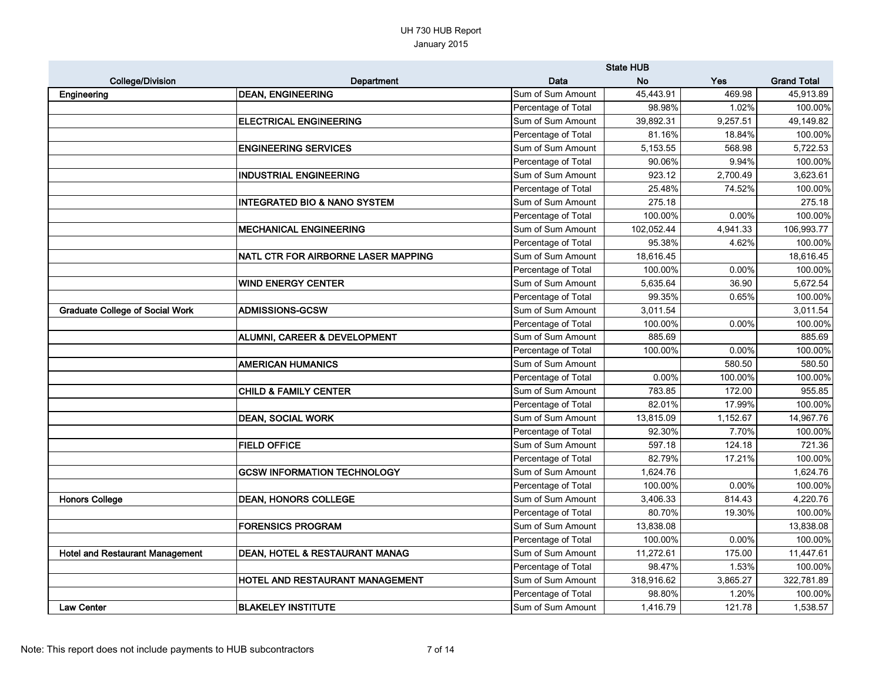|                                        |                                           |                     | <b>State HUB</b> |            |                    |
|----------------------------------------|-------------------------------------------|---------------------|------------------|------------|--------------------|
| <b>College/Division</b>                | Department                                | Data                | <b>No</b>        | <b>Yes</b> | <b>Grand Total</b> |
| Engineering                            | <b>DEAN, ENGINEERING</b>                  | Sum of Sum Amount   | 45,443.91        | 469.98     | 45,913.89          |
|                                        |                                           | Percentage of Total | 98.98%           | 1.02%      | 100.00%            |
|                                        | <b>ELECTRICAL ENGINEERING</b>             | Sum of Sum Amount   | 39,892.31        | 9,257.51   | 49,149.82          |
|                                        |                                           | Percentage of Total | 81.16%           | 18.84%     | 100.00%            |
|                                        | <b>ENGINEERING SERVICES</b>               | Sum of Sum Amount   | 5,153.55         | 568.98     | 5,722.53           |
|                                        |                                           | Percentage of Total | 90.06%           | 9.94%      | 100.00%            |
|                                        | <b>INDUSTRIAL ENGINEERING</b>             | Sum of Sum Amount   | 923.12           | 2,700.49   | 3,623.61           |
|                                        |                                           | Percentage of Total | 25.48%           | 74.52%     | 100.00%            |
|                                        | <b>INTEGRATED BIO &amp; NANO SYSTEM</b>   | Sum of Sum Amount   | 275.18           |            | 275.18             |
|                                        |                                           | Percentage of Total | 100.00%          | 0.00%      | 100.00%            |
|                                        | <b>MECHANICAL ENGINEERING</b>             | Sum of Sum Amount   | 102,052.44       | 4,941.33   | 106,993.77         |
|                                        |                                           | Percentage of Total | 95.38%           | 4.62%      | 100.00%            |
|                                        | NATL CTR FOR AIRBORNE LASER MAPPING       | Sum of Sum Amount   | 18,616.45        |            | 18,616.45          |
|                                        |                                           | Percentage of Total | 100.00%          | 0.00%      | 100.00%            |
|                                        | <b>WIND ENERGY CENTER</b>                 | Sum of Sum Amount   | 5,635.64         | 36.90      | 5,672.54           |
|                                        |                                           | Percentage of Total | 99.35%           | 0.65%      | 100.00%            |
| <b>Graduate College of Social Work</b> | <b>ADMISSIONS-GCSW</b>                    | Sum of Sum Amount   | 3,011.54         |            | 3,011.54           |
|                                        |                                           | Percentage of Total | 100.00%          | 0.00%      | 100.00%            |
|                                        | ALUMNI, CAREER & DEVELOPMENT              | Sum of Sum Amount   | 885.69           |            | 885.69             |
|                                        |                                           | Percentage of Total | 100.00%          | 0.00%      | 100.00%            |
|                                        | <b>AMERICAN HUMANICS</b>                  | Sum of Sum Amount   |                  | 580.50     | 580.50             |
|                                        |                                           | Percentage of Total | 0.00%            | 100.00%    | 100.00%            |
|                                        | <b>CHILD &amp; FAMILY CENTER</b>          | Sum of Sum Amount   | 783.85           | 172.00     | 955.85             |
|                                        |                                           | Percentage of Total | 82.01%           | 17.99%     | 100.00%            |
|                                        | <b>DEAN, SOCIAL WORK</b>                  | Sum of Sum Amount   | 13,815.09        | 1,152.67   | 14,967.76          |
|                                        |                                           | Percentage of Total | 92.30%           | 7.70%      | 100.00%            |
|                                        | <b>FIELD OFFICE</b>                       | Sum of Sum Amount   | 597.18           | 124.18     | 721.36             |
|                                        |                                           | Percentage of Total | 82.79%           | 17.21%     | 100.00%            |
|                                        | <b>GCSW INFORMATION TECHNOLOGY</b>        | Sum of Sum Amount   | 1,624.76         |            | 1,624.76           |
|                                        |                                           | Percentage of Total | 100.00%          | 0.00%      | 100.00%            |
| <b>Honors College</b>                  | <b>DEAN, HONORS COLLEGE</b>               | Sum of Sum Amount   | 3,406.33         | 814.43     | 4,220.76           |
|                                        |                                           | Percentage of Total | 80.70%           | 19.30%     | 100.00%            |
|                                        | <b>FORENSICS PROGRAM</b>                  | Sum of Sum Amount   | 13,838.08        |            | 13,838.08          |
|                                        |                                           | Percentage of Total | 100.00%          | 0.00%      | 100.00%            |
| <b>Hotel and Restaurant Management</b> | <b>DEAN, HOTEL &amp; RESTAURANT MANAG</b> | Sum of Sum Amount   | 11,272.61        | 175.00     | 11,447.61          |
|                                        |                                           | Percentage of Total | 98.47%           | 1.53%      | 100.00%            |
|                                        | HOTEL AND RESTAURANT MANAGEMENT           | Sum of Sum Amount   | 318,916.62       | 3,865.27   | 322,781.89         |
|                                        |                                           | Percentage of Total | 98.80%           | 1.20%      | 100.00%            |
| <b>Law Center</b>                      | <b>BLAKELEY INSTITUTE</b>                 | Sum of Sum Amount   | 1,416.79         | 121.78     | 1,538.57           |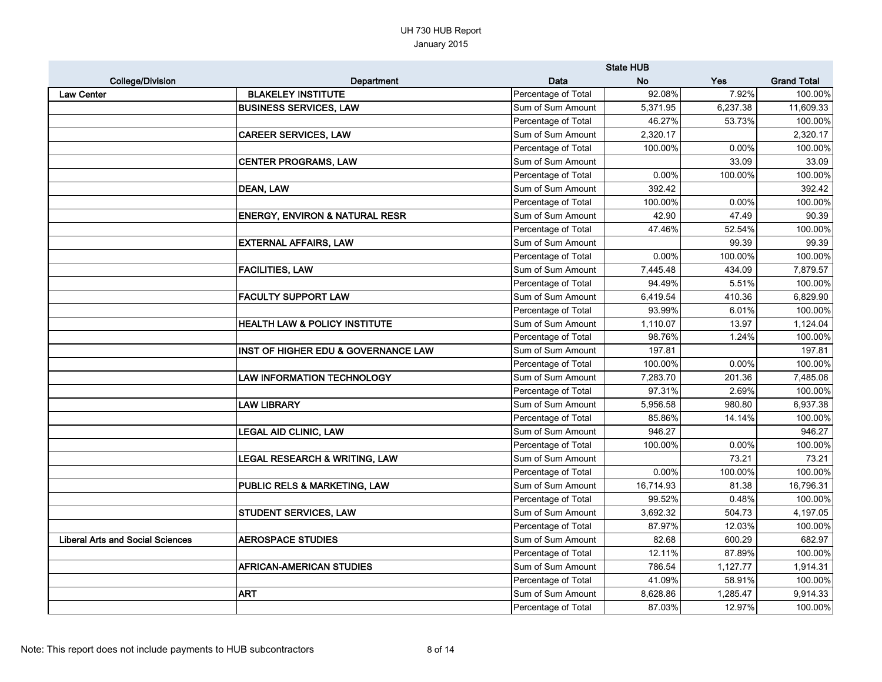|                                         |                                           |                     | <b>State HUB</b> |            |                    |
|-----------------------------------------|-------------------------------------------|---------------------|------------------|------------|--------------------|
| <b>College/Division</b>                 | Department                                | Data                | <b>No</b>        | <b>Yes</b> | <b>Grand Total</b> |
| <b>Law Center</b>                       | <b>BLAKELEY INSTITUTE</b>                 | Percentage of Total | 92.08%           | 7.92%      | 100.00%            |
|                                         | <b>BUSINESS SERVICES, LAW</b>             | Sum of Sum Amount   | 5,371.95         | 6,237.38   | 11,609.33          |
|                                         |                                           | Percentage of Total | 46.27%           | 53.73%     | 100.00%            |
|                                         | <b>CAREER SERVICES, LAW</b>               | Sum of Sum Amount   | 2,320.17         |            | 2,320.17           |
|                                         |                                           | Percentage of Total | 100.00%          | 0.00%      | 100.00%            |
|                                         | <b>CENTER PROGRAMS, LAW</b>               | Sum of Sum Amount   |                  | 33.09      | 33.09              |
|                                         |                                           | Percentage of Total | 0.00%            | 100.00%    | 100.00%            |
|                                         | <b>DEAN, LAW</b>                          | Sum of Sum Amount   | 392.42           |            | 392.42             |
|                                         |                                           | Percentage of Total | 100.00%          | 0.00%      | 100.00%            |
|                                         | <b>ENERGY, ENVIRON &amp; NATURAL RESR</b> | Sum of Sum Amount   | 42.90            | 47.49      | 90.39              |
|                                         |                                           | Percentage of Total | 47.46%           | 52.54%     | 100.00%            |
|                                         | <b>EXTERNAL AFFAIRS, LAW</b>              | Sum of Sum Amount   |                  | 99.39      | 99.39              |
|                                         |                                           | Percentage of Total | 0.00%            | 100.00%    | 100.00%            |
|                                         | <b>FACILITIES, LAW</b>                    | Sum of Sum Amount   | 7,445.48         | 434.09     | 7,879.57           |
|                                         |                                           | Percentage of Total | 94.49%           | 5.51%      | 100.00%            |
|                                         | <b>FACULTY SUPPORT LAW</b>                | Sum of Sum Amount   | 6,419.54         | 410.36     | 6,829.90           |
|                                         |                                           | Percentage of Total | 93.99%           | 6.01%      | 100.00%            |
|                                         | HEALTH LAW & POLICY INSTITUTE             | Sum of Sum Amount   | 1,110.07         | 13.97      | 1,124.04           |
|                                         |                                           | Percentage of Total | 98.76%           | 1.24%      | 100.00%            |
|                                         | INST OF HIGHER EDU & GOVERNANCE LAW       | Sum of Sum Amount   | 197.81           |            | 197.81             |
|                                         |                                           | Percentage of Total | 100.00%          | $0.00\%$   | 100.00%            |
|                                         | <b>LAW INFORMATION TECHNOLOGY</b>         | Sum of Sum Amount   | 7,283.70         | 201.36     | 7,485.06           |
|                                         |                                           | Percentage of Total | 97.31%           | 2.69%      | 100.00%            |
|                                         | <b>LAW LIBRARY</b>                        | Sum of Sum Amount   | 5,956.58         | 980.80     | 6,937.38           |
|                                         |                                           | Percentage of Total | 85.86%           | 14.14%     | 100.00%            |
|                                         | <b>LEGAL AID CLINIC, LAW</b>              | Sum of Sum Amount   | 946.27           |            | 946.27             |
|                                         |                                           | Percentage of Total | 100.00%          | 0.00%      | 100.00%            |
|                                         | <b>LEGAL RESEARCH &amp; WRITING, LAW</b>  | Sum of Sum Amount   |                  | 73.21      | 73.21              |
|                                         |                                           | Percentage of Total | 0.00%            | 100.00%    | 100.00%            |
|                                         | PUBLIC RELS & MARKETING, LAW              | Sum of Sum Amount   | 16,714.93        | 81.38      | 16,796.31          |
|                                         |                                           | Percentage of Total | 99.52%           | 0.48%      | 100.00%            |
|                                         | <b>STUDENT SERVICES, LAW</b>              | Sum of Sum Amount   | 3,692.32         | 504.73     | 4,197.05           |
|                                         |                                           | Percentage of Total | 87.97%           | 12.03%     | 100.00%            |
| <b>Liberal Arts and Social Sciences</b> | <b>AEROSPACE STUDIES</b>                  | Sum of Sum Amount   | 82.68            | 600.29     | 682.97             |
|                                         |                                           | Percentage of Total | 12.11%           | 87.89%     | 100.00%            |
|                                         | <b>AFRICAN-AMERICAN STUDIES</b>           | Sum of Sum Amount   | 786.54           | 1,127.77   | 1,914.31           |
|                                         |                                           | Percentage of Total | 41.09%           | 58.91%     | 100.00%            |
|                                         | <b>ART</b>                                | Sum of Sum Amount   | 8,628.86         | 1,285.47   | 9,914.33           |
|                                         |                                           | Percentage of Total | 87.03%           | 12.97%     | 100.00%            |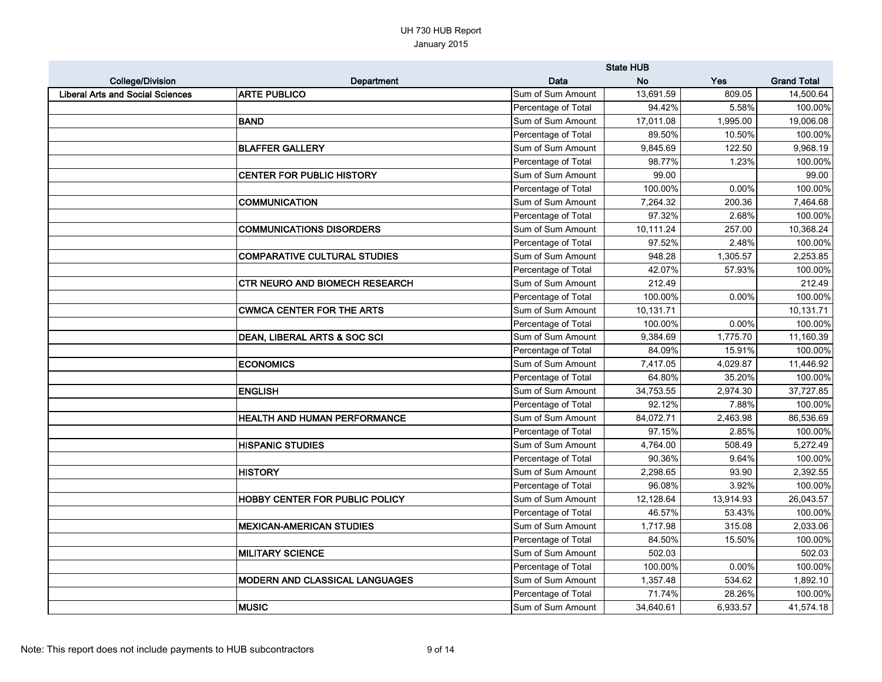|                                         |                                       |                     | <b>State HUB</b> |            |                    |
|-----------------------------------------|---------------------------------------|---------------------|------------------|------------|--------------------|
| <b>College/Division</b>                 | Department                            | Data                | <b>No</b>        | <b>Yes</b> | <b>Grand Total</b> |
| <b>Liberal Arts and Social Sciences</b> | <b>ARTE PUBLICO</b>                   | Sum of Sum Amount   | 13,691.59        | 809.05     | 14,500.64          |
|                                         |                                       | Percentage of Total | 94.42%           | 5.58%      | 100.00%            |
|                                         | <b>BAND</b>                           | Sum of Sum Amount   | 17,011.08        | 1,995.00   | 19,006.08          |
|                                         |                                       | Percentage of Total | 89.50%           | 10.50%     | 100.00%            |
|                                         | <b>BLAFFER GALLERY</b>                | Sum of Sum Amount   | 9,845.69         | 122.50     | 9,968.19           |
|                                         |                                       | Percentage of Total | 98.77%           | 1.23%      | 100.00%            |
|                                         | <b>CENTER FOR PUBLIC HISTORY</b>      | Sum of Sum Amount   | 99.00            |            | 99.00              |
|                                         |                                       | Percentage of Total | 100.00%          | 0.00%      | 100.00%            |
|                                         | <b>COMMUNICATION</b>                  | Sum of Sum Amount   | 7,264.32         | 200.36     | 7,464.68           |
|                                         |                                       | Percentage of Total | 97.32%           | 2.68%      | 100.00%            |
|                                         | <b>COMMUNICATIONS DISORDERS</b>       | Sum of Sum Amount   | 10,111.24        | 257.00     | 10,368.24          |
|                                         |                                       | Percentage of Total | 97.52%           | 2.48%      | 100.00%            |
|                                         | <b>COMPARATIVE CULTURAL STUDIES</b>   | Sum of Sum Amount   | 948.28           | 1,305.57   | 2,253.85           |
|                                         |                                       | Percentage of Total | 42.07%           | 57.93%     | 100.00%            |
|                                         | <b>CTR NEURO AND BIOMECH RESEARCH</b> | Sum of Sum Amount   | 212.49           |            | 212.49             |
|                                         |                                       | Percentage of Total | 100.00%          | 0.00%      | 100.00%            |
|                                         | <b>CWMCA CENTER FOR THE ARTS</b>      | Sum of Sum Amount   | 10,131.71        |            | 10,131.71          |
|                                         |                                       | Percentage of Total | 100.00%          | 0.00%      | 100.00%            |
|                                         | DEAN, LIBERAL ARTS & SOC SCI          | Sum of Sum Amount   | 9,384.69         | 1,775.70   | 11,160.39          |
|                                         |                                       | Percentage of Total | 84.09%           | 15.91%     | 100.00%            |
|                                         | <b>ECONOMICS</b>                      | Sum of Sum Amount   | 7,417.05         | 4,029.87   | 11,446.92          |
|                                         |                                       | Percentage of Total | 64.80%           | 35.20%     | 100.00%            |
|                                         | <b>ENGLISH</b>                        | Sum of Sum Amount   | 34,753.55        | 2,974.30   | 37,727.85          |
|                                         |                                       | Percentage of Total | 92.12%           | 7.88%      | 100.00%            |
|                                         | <b>HEALTH AND HUMAN PERFORMANCE</b>   | Sum of Sum Amount   | 84,072.71        | 2,463.98   | 86,536.69          |
|                                         |                                       | Percentage of Total | 97.15%           | 2.85%      | 100.00%            |
|                                         | <b>HISPANIC STUDIES</b>               | Sum of Sum Amount   | 4,764.00         | 508.49     | 5,272.49           |
|                                         |                                       | Percentage of Total | 90.36%           | 9.64%      | 100.00%            |
|                                         | <b>HISTORY</b>                        | Sum of Sum Amount   | 2,298.65         | 93.90      | 2,392.55           |
|                                         |                                       | Percentage of Total | 96.08%           | 3.92%      | 100.00%            |
|                                         | HOBBY CENTER FOR PUBLIC POLICY        | Sum of Sum Amount   | 12,128.64        | 13,914.93  | 26,043.57          |
|                                         |                                       | Percentage of Total | 46.57%           | 53.43%     | 100.00%            |
|                                         | <b>MEXICAN-AMERICAN STUDIES</b>       | Sum of Sum Amount   | 1,717.98         | 315.08     | 2,033.06           |
|                                         |                                       | Percentage of Total | 84.50%           | 15.50%     | 100.00%            |
|                                         | <b>MILITARY SCIENCE</b>               | Sum of Sum Amount   | 502.03           |            | 502.03             |
|                                         |                                       | Percentage of Total | 100.00%          | 0.00%      | 100.00%            |
|                                         | MODERN AND CLASSICAL LANGUAGES        | Sum of Sum Amount   | 1,357.48         | 534.62     | 1,892.10           |
|                                         |                                       | Percentage of Total | 71.74%           | 28.26%     | 100.00%            |
|                                         | <b>MUSIC</b>                          | Sum of Sum Amount   | 34,640.61        | 6,933.57   | 41,574.18          |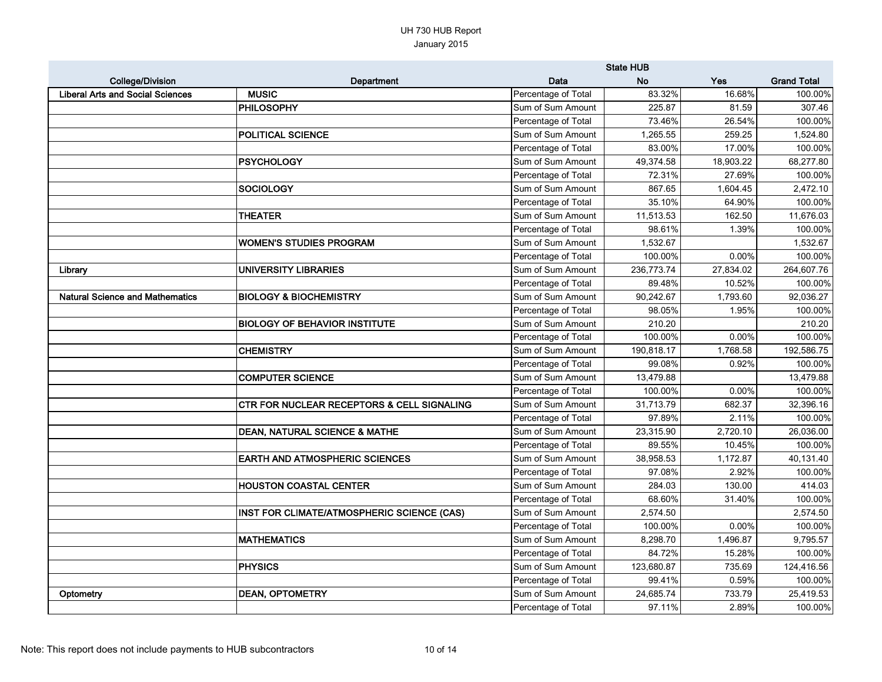|                                         |                                                       |                     | <b>State HUB</b> |            |                    |
|-----------------------------------------|-------------------------------------------------------|---------------------|------------------|------------|--------------------|
| <b>College/Division</b>                 | Department                                            | Data                | <b>No</b>        | <b>Yes</b> | <b>Grand Total</b> |
| <b>Liberal Arts and Social Sciences</b> | <b>MUSIC</b>                                          | Percentage of Total | 83.32%           | 16.68%     | 100.00%            |
|                                         | <b>PHILOSOPHY</b>                                     | Sum of Sum Amount   | 225.87           | 81.59      | 307.46             |
|                                         |                                                       | Percentage of Total | 73.46%           | 26.54%     | 100.00%            |
|                                         | <b>POLITICAL SCIENCE</b>                              | Sum of Sum Amount   | 1,265.55         | 259.25     | 1,524.80           |
|                                         |                                                       | Percentage of Total | 83.00%           | 17.00%     | 100.00%            |
|                                         | <b>PSYCHOLOGY</b>                                     | Sum of Sum Amount   | 49,374.58        | 18,903.22  | 68,277.80          |
|                                         |                                                       | Percentage of Total | 72.31%           | 27.69%     | 100.00%            |
|                                         | <b>SOCIOLOGY</b>                                      | Sum of Sum Amount   | 867.65           | 1,604.45   | 2,472.10           |
|                                         |                                                       | Percentage of Total | 35.10%           | 64.90%     | 100.00%            |
|                                         | <b>THEATER</b>                                        | Sum of Sum Amount   | 11,513.53        | 162.50     | 11,676.03          |
|                                         |                                                       | Percentage of Total | 98.61%           | 1.39%      | 100.00%            |
|                                         | <b>WOMEN'S STUDIES PROGRAM</b>                        | Sum of Sum Amount   | 1,532.67         |            | 1,532.67           |
|                                         |                                                       | Percentage of Total | 100.00%          | 0.00%      | 100.00%            |
| Library                                 | <b>UNIVERSITY LIBRARIES</b>                           | Sum of Sum Amount   | 236,773.74       | 27,834.02  | 264,607.76         |
|                                         |                                                       | Percentage of Total | 89.48%           | 10.52%     | 100.00%            |
| <b>Natural Science and Mathematics</b>  | <b>BIOLOGY &amp; BIOCHEMISTRY</b>                     | Sum of Sum Amount   | 90,242.67        | 1,793.60   | 92,036.27          |
|                                         |                                                       | Percentage of Total | 98.05%           | 1.95%      | 100.00%            |
|                                         | <b>BIOLOGY OF BEHAVIOR INSTITUTE</b>                  | Sum of Sum Amount   | 210.20           |            | 210.20             |
|                                         |                                                       | Percentage of Total | 100.00%          | 0.00%      | 100.00%            |
|                                         | <b>CHEMISTRY</b>                                      | Sum of Sum Amount   | 190,818.17       | 1,768.58   | 192,586.75         |
|                                         |                                                       | Percentage of Total | 99.08%           | 0.92%      | 100.00%            |
|                                         | <b>COMPUTER SCIENCE</b>                               | Sum of Sum Amount   | 13,479.88        |            | 13,479.88          |
|                                         |                                                       | Percentage of Total | 100.00%          | 0.00%      | 100.00%            |
|                                         | <b>CTR FOR NUCLEAR RECEPTORS &amp; CELL SIGNALING</b> | Sum of Sum Amount   | 31,713.79        | 682.37     | 32,396.16          |
|                                         |                                                       | Percentage of Total | 97.89%           | 2.11%      | 100.00%            |
|                                         | <b>DEAN, NATURAL SCIENCE &amp; MATHE</b>              | Sum of Sum Amount   | 23,315.90        | 2,720.10   | 26,036.00          |
|                                         |                                                       | Percentage of Total | 89.55%           | 10.45%     | 100.00%            |
|                                         | <b>EARTH AND ATMOSPHERIC SCIENCES</b>                 | Sum of Sum Amount   | 38,958.53        | 1,172.87   | 40,131.40          |
|                                         |                                                       | Percentage of Total | 97.08%           | 2.92%      | 100.00%            |
|                                         | <b>HOUSTON COASTAL CENTER</b>                         | Sum of Sum Amount   | 284.03           | 130.00     | 414.03             |
|                                         |                                                       | Percentage of Total | 68.60%           | 31.40%     | 100.00%            |
|                                         | INST FOR CLIMATE/ATMOSPHERIC SCIENCE (CAS)            | Sum of Sum Amount   | 2,574.50         |            | 2,574.50           |
|                                         |                                                       | Percentage of Total | 100.00%          | 0.00%      | 100.00%            |
|                                         | <b>MATHEMATICS</b>                                    | Sum of Sum Amount   | 8,298.70         | 1,496.87   | 9,795.57           |
|                                         |                                                       | Percentage of Total | 84.72%           | 15.28%     | 100.00%            |
|                                         | <b>PHYSICS</b>                                        | Sum of Sum Amount   | 123,680.87       | 735.69     | 124,416.56         |
|                                         |                                                       | Percentage of Total | 99.41%           | 0.59%      | 100.00%            |
| Optometry                               | <b>DEAN, OPTOMETRY</b>                                | Sum of Sum Amount   | 24,685.74        | 733.79     | 25,419.53          |
|                                         |                                                       | Percentage of Total | 97.11%           | 2.89%      | 100.00%            |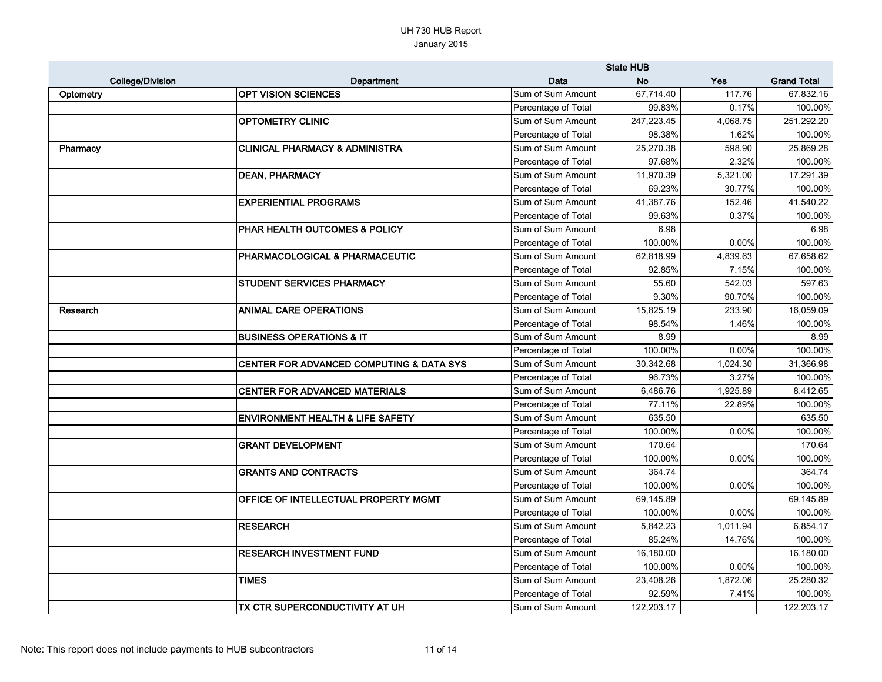|                         |                                             |                     | <b>State HUB</b> |            |                    |
|-------------------------|---------------------------------------------|---------------------|------------------|------------|--------------------|
| <b>College/Division</b> | Department                                  | Data                | <b>No</b>        | <b>Yes</b> | <b>Grand Total</b> |
| Optometry               | <b>OPT VISION SCIENCES</b>                  | Sum of Sum Amount   | 67,714.40        | 117.76     | 67,832.16          |
|                         |                                             | Percentage of Total | 99.83%           | 0.17%      | 100.00%            |
|                         | <b>OPTOMETRY CLINIC</b>                     | Sum of Sum Amount   | 247,223.45       | 4,068.75   | 251,292.20         |
|                         |                                             | Percentage of Total | 98.38%           | 1.62%      | 100.00%            |
| Pharmacy                | <b>CLINICAL PHARMACY &amp; ADMINISTRA</b>   | Sum of Sum Amount   | 25,270.38        | 598.90     | 25,869.28          |
|                         |                                             | Percentage of Total | 97.68%           | 2.32%      | 100.00%            |
|                         | <b>DEAN, PHARMACY</b>                       | Sum of Sum Amount   | 11,970.39        | 5,321.00   | 17,291.39          |
|                         |                                             | Percentage of Total | 69.23%           | 30.77%     | 100.00%            |
|                         | <b>EXPERIENTIAL PROGRAMS</b>                | Sum of Sum Amount   | 41,387.76        | 152.46     | 41,540.22          |
|                         |                                             | Percentage of Total | 99.63%           | 0.37%      | 100.00%            |
|                         | PHAR HEALTH OUTCOMES & POLICY               | Sum of Sum Amount   | 6.98             |            | 6.98               |
|                         |                                             | Percentage of Total | 100.00%          | $0.00\%$   | 100.00%            |
|                         | <b>PHARMACOLOGICAL &amp; PHARMACEUTIC</b>   | Sum of Sum Amount   | 62,818.99        | 4,839.63   | 67,658.62          |
|                         |                                             | Percentage of Total | 92.85%           | 7.15%      | 100.00%            |
|                         | <b>STUDENT SERVICES PHARMACY</b>            | Sum of Sum Amount   | 55.60            | 542.03     | 597.63             |
|                         |                                             | Percentage of Total | 9.30%            | 90.70%     | 100.00%            |
| Research                | <b>ANIMAL CARE OPERATIONS</b>               | Sum of Sum Amount   | 15,825.19        | 233.90     | 16,059.09          |
|                         |                                             | Percentage of Total | 98.54%           | 1.46%      | 100.00%            |
|                         | <b>BUSINESS OPERATIONS &amp; IT</b>         | Sum of Sum Amount   | 8.99             |            | 8.99               |
|                         |                                             | Percentage of Total | 100.00%          | $0.00\%$   | 100.00%            |
|                         | CENTER FOR ADVANCED COMPUTING & DATA SYS    | Sum of Sum Amount   | 30,342.68        | 1,024.30   | 31,366.98          |
|                         |                                             | Percentage of Total | 96.73%           | 3.27%      | 100.00%            |
|                         | <b>CENTER FOR ADVANCED MATERIALS</b>        | Sum of Sum Amount   | 6,486.76         | 1,925.89   | 8,412.65           |
|                         |                                             | Percentage of Total | 77.11%           | 22.89%     | 100.00%            |
|                         | <b>ENVIRONMENT HEALTH &amp; LIFE SAFETY</b> | Sum of Sum Amount   | 635.50           |            | 635.50             |
|                         |                                             | Percentage of Total | 100.00%          | 0.00%      | 100.00%            |
|                         | <b>GRANT DEVELOPMENT</b>                    | Sum of Sum Amount   | 170.64           |            | 170.64             |
|                         |                                             | Percentage of Total | 100.00%          | $0.00\%$   | 100.00%            |
|                         | <b>GRANTS AND CONTRACTS</b>                 | Sum of Sum Amount   | 364.74           |            | 364.74             |
|                         |                                             | Percentage of Total | 100.00%          | 0.00%      | 100.00%            |
|                         | <b>OFFICE OF INTELLECTUAL PROPERTY MGMT</b> | Sum of Sum Amount   | 69,145.89        |            | 69,145.89          |
|                         |                                             | Percentage of Total | 100.00%          | 0.00%      | 100.00%            |
|                         | <b>RESEARCH</b>                             | Sum of Sum Amount   | 5,842.23         | 1,011.94   | 6,854.17           |
|                         |                                             | Percentage of Total | 85.24%           | 14.76%     | 100.00%            |
|                         | <b>RESEARCH INVESTMENT FUND</b>             | Sum of Sum Amount   | 16,180.00        |            | 16,180.00          |
|                         |                                             | Percentage of Total | 100.00%          | 0.00%      | 100.00%            |
|                         | <b>TIMES</b>                                | Sum of Sum Amount   | 23,408.26        | 1,872.06   | 25,280.32          |
|                         |                                             | Percentage of Total | 92.59%           | 7.41%      | 100.00%            |
|                         | TX CTR SUPERCONDUCTIVITY AT UH              | Sum of Sum Amount   | 122,203.17       |            | 122,203.17         |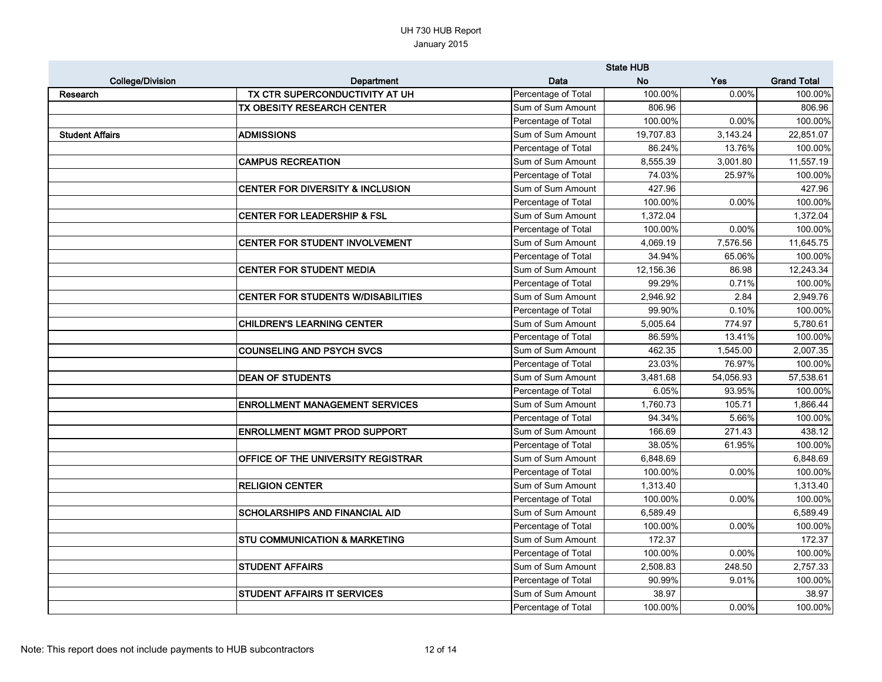|                         |                                             |                     | <b>State HUB</b> |            |                    |
|-------------------------|---------------------------------------------|---------------------|------------------|------------|--------------------|
| <b>College/Division</b> | Department                                  | Data                | <b>No</b>        | <b>Yes</b> | <b>Grand Total</b> |
| Research                | TX CTR SUPERCONDUCTIVITY AT UH              | Percentage of Total | 100.00%          | 0.00%      | 100.00%            |
|                         | TX OBESITY RESEARCH CENTER                  | Sum of Sum Amount   | 806.96           |            | 806.96             |
|                         |                                             | Percentage of Total | 100.00%          | 0.00%      | 100.00%            |
| <b>Student Affairs</b>  | <b>ADMISSIONS</b>                           | Sum of Sum Amount   | 19,707.83        | 3,143.24   | 22,851.07          |
|                         |                                             | Percentage of Total | 86.24%           | 13.76%     | 100.00%            |
|                         | <b>CAMPUS RECREATION</b>                    | Sum of Sum Amount   | 8,555.39         | 3,001.80   | 11,557.19          |
|                         |                                             | Percentage of Total | 74.03%           | 25.97%     | 100.00%            |
|                         | <b>CENTER FOR DIVERSITY &amp; INCLUSION</b> | Sum of Sum Amount   | 427.96           |            | 427.96             |
|                         |                                             | Percentage of Total | 100.00%          | 0.00%      | 100.00%            |
|                         | <b>CENTER FOR LEADERSHIP &amp; FSL</b>      | Sum of Sum Amount   | 1,372.04         |            | 1,372.04           |
|                         |                                             | Percentage of Total | 100.00%          | 0.00%      | 100.00%            |
|                         | CENTER FOR STUDENT INVOLVEMENT              | Sum of Sum Amount   | 4,069.19         | 7,576.56   | 11,645.75          |
|                         |                                             | Percentage of Total | 34.94%           | 65.06%     | 100.00%            |
|                         | <b>CENTER FOR STUDENT MEDIA</b>             | Sum of Sum Amount   | 12,156.36        | 86.98      | 12,243.34          |
|                         |                                             | Percentage of Total | 99.29%           | 0.71%      | 100.00%            |
|                         | <b>CENTER FOR STUDENTS W/DISABILITIES</b>   | Sum of Sum Amount   | 2,946.92         | 2.84       | 2,949.76           |
|                         |                                             | Percentage of Total | 99.90%           | 0.10%      | 100.00%            |
|                         | CHILDREN'S LEARNING CENTER                  | Sum of Sum Amount   | 5,005.64         | 774.97     | 5,780.61           |
|                         |                                             | Percentage of Total | 86.59%           | 13.41%     | 100.00%            |
|                         | <b>COUNSELING AND PSYCH SVCS</b>            | Sum of Sum Amount   | 462.35           | 1,545.00   | 2,007.35           |
|                         |                                             | Percentage of Total | 23.03%           | 76.97%     | 100.00%            |
|                         | <b>DEAN OF STUDENTS</b>                     | Sum of Sum Amount   | 3,481.68         | 54,056.93  | 57,538.61          |
|                         |                                             | Percentage of Total | 6.05%            | 93.95%     | 100.00%            |
|                         | <b>ENROLLMENT MANAGEMENT SERVICES</b>       | Sum of Sum Amount   | 1,760.73         | 105.71     | 1,866.44           |
|                         |                                             | Percentage of Total | 94.34%           | 5.66%      | 100.00%            |
|                         | <b>ENROLLMENT MGMT PROD SUPPORT</b>         | Sum of Sum Amount   | 166.69           | 271.43     | 438.12             |
|                         |                                             | Percentage of Total | 38.05%           | 61.95%     | 100.00%            |
|                         | <b>OFFICE OF THE UNIVERSITY REGISTRAR</b>   | Sum of Sum Amount   | 6,848.69         |            | 6,848.69           |
|                         |                                             | Percentage of Total | 100.00%          | 0.00%      | 100.00%            |
|                         | <b>RELIGION CENTER</b>                      | Sum of Sum Amount   | 1,313.40         |            | 1,313.40           |
|                         |                                             | Percentage of Total | 100.00%          | 0.00%      | 100.00%            |
|                         | <b>SCHOLARSHIPS AND FINANCIAL AID</b>       | Sum of Sum Amount   | 6,589.49         |            | 6,589.49           |
|                         |                                             | Percentage of Total | 100.00%          | 0.00%      | 100.00%            |
|                         | <b>STU COMMUNICATION &amp; MARKETING</b>    | Sum of Sum Amount   | 172.37           |            | 172.37             |
|                         |                                             | Percentage of Total | 100.00%          | 0.00%      | 100.00%            |
|                         | <b>STUDENT AFFAIRS</b>                      | Sum of Sum Amount   | 2,508.83         | 248.50     | 2,757.33           |
|                         |                                             | Percentage of Total | 90.99%           | 9.01%      | 100.00%            |
|                         | <b>STUDENT AFFAIRS IT SERVICES</b>          | Sum of Sum Amount   | 38.97            |            | 38.97              |
|                         |                                             | Percentage of Total | 100.00%          | $0.00\%$   | 100.00%            |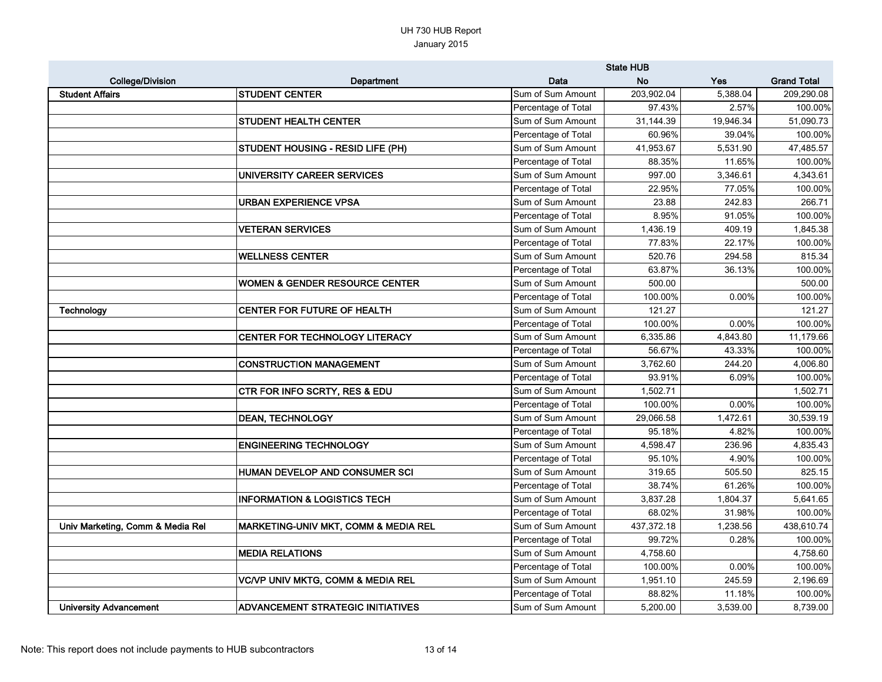|                                  |                                              |                     | <b>State HUB</b> |            |                    |  |  |
|----------------------------------|----------------------------------------------|---------------------|------------------|------------|--------------------|--|--|
| <b>College/Division</b>          | Department                                   | Data                | <b>No</b>        | <b>Yes</b> | <b>Grand Total</b> |  |  |
| <b>Student Affairs</b>           | <b>STUDENT CENTER</b>                        | Sum of Sum Amount   | 203,902.04       | 5,388.04   | 209,290.08         |  |  |
|                                  |                                              | Percentage of Total | 97.43%           | 2.57%      | 100.00%            |  |  |
|                                  | <b>STUDENT HEALTH CENTER</b>                 | Sum of Sum Amount   | 31,144.39        | 19,946.34  | 51,090.73          |  |  |
|                                  |                                              | Percentage of Total | 60.96%           | 39.04%     | 100.00%            |  |  |
|                                  | <b>STUDENT HOUSING - RESID LIFE (PH)</b>     | Sum of Sum Amount   | 41,953.67        | 5,531.90   | 47,485.57          |  |  |
|                                  |                                              | Percentage of Total | 88.35%           | 11.65%     | 100.00%            |  |  |
|                                  | UNIVERSITY CAREER SERVICES                   | Sum of Sum Amount   | 997.00           | 3,346.61   | 4,343.61           |  |  |
|                                  |                                              | Percentage of Total | 22.95%           | 77.05%     | 100.00%            |  |  |
|                                  | <b>URBAN EXPERIENCE VPSA</b>                 | Sum of Sum Amount   | 23.88            | 242.83     | 266.71             |  |  |
|                                  |                                              | Percentage of Total | 8.95%            | 91.05%     | 100.00%            |  |  |
|                                  | <b>VETERAN SERVICES</b>                      | Sum of Sum Amount   | 1,436.19         | 409.19     | 1,845.38           |  |  |
|                                  |                                              | Percentage of Total | 77.83%           | 22.17%     | 100.00%            |  |  |
|                                  | <b>WELLNESS CENTER</b>                       | Sum of Sum Amount   | 520.76           | 294.58     | 815.34             |  |  |
|                                  |                                              | Percentage of Total | 63.87%           | 36.13%     | 100.00%            |  |  |
|                                  | <b>WOMEN &amp; GENDER RESOURCE CENTER</b>    | Sum of Sum Amount   | 500.00           |            | 500.00             |  |  |
|                                  |                                              | Percentage of Total | 100.00%          | 0.00%      | 100.00%            |  |  |
| <b>Technology</b>                | <b>CENTER FOR FUTURE OF HEALTH</b>           | Sum of Sum Amount   | 121.27           |            | 121.27             |  |  |
|                                  |                                              | Percentage of Total | 100.00%          | 0.00%      | 100.00%            |  |  |
|                                  | <b>CENTER FOR TECHNOLOGY LITERACY</b>        | Sum of Sum Amount   | 6,335.86         | 4,843.80   | 11,179.66          |  |  |
|                                  |                                              | Percentage of Total | 56.67%           | 43.33%     | 100.00%            |  |  |
|                                  | <b>CONSTRUCTION MANAGEMENT</b>               | Sum of Sum Amount   | 3,762.60         | 244.20     | 4,006.80           |  |  |
|                                  |                                              | Percentage of Total | 93.91%           | 6.09%      | 100.00%            |  |  |
|                                  | <b>CTR FOR INFO SCRTY, RES &amp; EDU</b>     | Sum of Sum Amount   | 1,502.71         |            | 1,502.71           |  |  |
|                                  |                                              | Percentage of Total | 100.00%          | 0.00%      | 100.00%            |  |  |
|                                  | <b>DEAN, TECHNOLOGY</b>                      | Sum of Sum Amount   | 29,066.58        | 1,472.61   | 30,539.19          |  |  |
|                                  |                                              | Percentage of Total | 95.18%           | 4.82%      | 100.00%            |  |  |
|                                  | <b>ENGINEERING TECHNOLOGY</b>                | Sum of Sum Amount   | 4,598.47         | 236.96     | 4,835.43           |  |  |
|                                  |                                              | Percentage of Total | 95.10%           | 4.90%      | 100.00%            |  |  |
|                                  | HUMAN DEVELOP AND CONSUMER SCI               | Sum of Sum Amount   | 319.65           | 505.50     | 825.15             |  |  |
|                                  |                                              | Percentage of Total | 38.74%           | 61.26%     | 100.00%            |  |  |
|                                  | <b>INFORMATION &amp; LOGISTICS TECH</b>      | Sum of Sum Amount   | 3,837.28         | 1,804.37   | 5,641.65           |  |  |
|                                  |                                              | Percentage of Total | 68.02%           | 31.98%     | 100.00%            |  |  |
| Univ Marketing, Comm & Media Rel | MARKETING-UNIV MKT, COMM & MEDIA REL         | Sum of Sum Amount   | 437,372.18       | 1,238.56   | 438,610.74         |  |  |
|                                  |                                              | Percentage of Total | 99.72%           | 0.28%      | 100.00%            |  |  |
|                                  | <b>MEDIA RELATIONS</b>                       | Sum of Sum Amount   | 4,758.60         |            | 4,758.60           |  |  |
|                                  |                                              | Percentage of Total | 100.00%          | 0.00%      | 100.00%            |  |  |
|                                  | <b>VC/VP UNIV MKTG, COMM &amp; MEDIA REL</b> | Sum of Sum Amount   | 1,951.10         | 245.59     | 2,196.69           |  |  |
|                                  |                                              | Percentage of Total | 88.82%           | 11.18%     | 100.00%            |  |  |
| <b>University Advancement</b>    | <b>ADVANCEMENT STRATEGIC INITIATIVES</b>     | Sum of Sum Amount   | 5,200.00         | 3,539.00   | 8,739.00           |  |  |